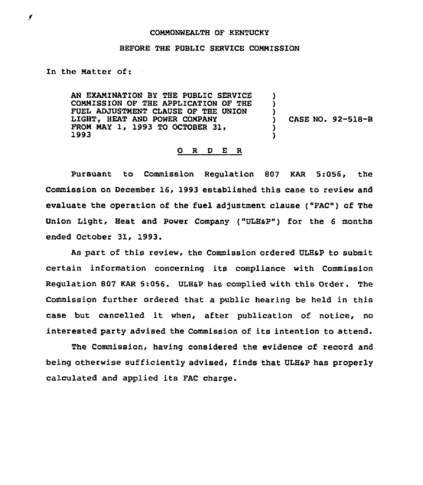## COMMONWEALTH OF KENTUCKY

## BEFORE THE PUBLIC SERVICE CONMISSION

In the Natter of:

AN EXAMINATION BY THE PUBLIC SERVICE CONNISSION OF THE APPLICATION OF THE FUEL ADJUSTMENT CLAUSE OF THE UNION LIGHT, HEAT AND POWER COMPANY FROM MAY 1, 1993 TO OCTOBER 31,<br>1993 ) ) ) ) )

) CASE NO. 92-518-8

## 0 <sup>R</sup> <sup>D</sup> E <sup>R</sup>

Pursuant to Commission Regulation 807 KAR 5:056, the Commission on December 16, 1993 established this case to review and evaluate the operation of the fuel adjustment clause ("FAC") of The Union Light, Heat and power Company ("ULHSp") for the 6 months ended October 31, 1993.

As part of this review, the commission ordered ULHsp to submit certain information concerning its compliance with Commission Regulation 807 KAR 5:056. ULH&P has complied with this Order. The Commission further ordered that a public hearing be held in this case but cancelled it when, after publication of notice, no interested party advised the Commission of its intention to attend.

The Commission, having considered the evidence of record and being otherwise sufficiently advised, finds that ULHSP has properly calculated and applied its FAC charge.

 $\pmb{\epsilon}$